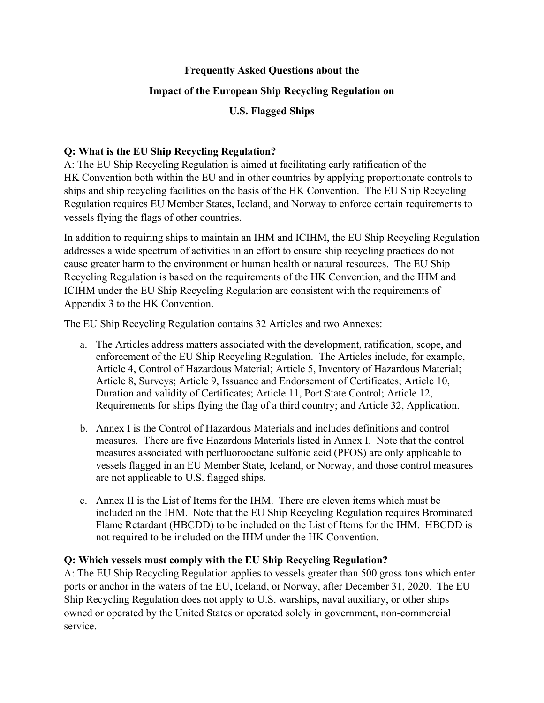### **Frequently Asked Questions about the**

### **Impact of the European Ship Recycling Regulation on**

**U.S. Flagged Ships** 

## **Q: What is the EU Ship Recycling Regulation?**

A: The EU Ship Recycling Regulation is aimed at facilitating early ratification of the HK Convention both within the EU and in other countries by applying proportionate controls to ships and ship recycling facilities on the basis of the HK Convention. The EU Ship Recycling Regulation requires EU Member States, Iceland, and Norway to enforce certain requirements to vessels flying the flags of other countries.

In addition to requiring ships to maintain an IHM and ICIHM, the EU Ship Recycling Regulation addresses a wide spectrum of activities in an effort to ensure ship recycling practices do not cause greater harm to the environment or human health or natural resources. The EU Ship Recycling Regulation is based on the requirements of the HK Convention, and the IHM and ICIHM under the EU Ship Recycling Regulation are consistent with the requirements of Appendix 3 to the HK Convention.

The EU Ship Recycling Regulation contains 32 Articles and two Annexes:

- a. The Articles address matters associated with the development, ratification, scope, and enforcement of the EU Ship Recycling Regulation. The Articles include, for example, Article 4, Control of Hazardous Material; Article 5, Inventory of Hazardous Material; Article 8, Surveys; Article 9, Issuance and Endorsement of Certificates; Article 10, Duration and validity of Certificates; Article 11, Port State Control; Article 12, Requirements for ships flying the flag of a third country; and Article 32, Application.
- b. Annex I is the Control of Hazardous Materials and includes definitions and control measures. There are five Hazardous Materials listed in Annex I. Note that the control measures associated with perfluorooctane sulfonic acid (PFOS) are only applicable to vessels flagged in an EU Member State, Iceland, or Norway, and those control measures are not applicable to U.S. flagged ships.
- c. Annex II is the List of Items for the IHM. There are eleven items which must be included on the IHM. Note that the EU Ship Recycling Regulation requires Brominated Flame Retardant (HBCDD) to be included on the List of Items for the IHM. HBCDD is not required to be included on the IHM under the HK Convention.

#### **Q: Which vessels must comply with the EU Ship Recycling Regulation?**

A: The EU Ship Recycling Regulation applies to vessels greater than 500 gross tons which enter ports or anchor in the waters of the EU, Iceland, or Norway, after December 31, 2020. The EU Ship Recycling Regulation does not apply to U.S. warships, naval auxiliary, or other ships owned or operated by the United States or operated solely in government, non-commercial service.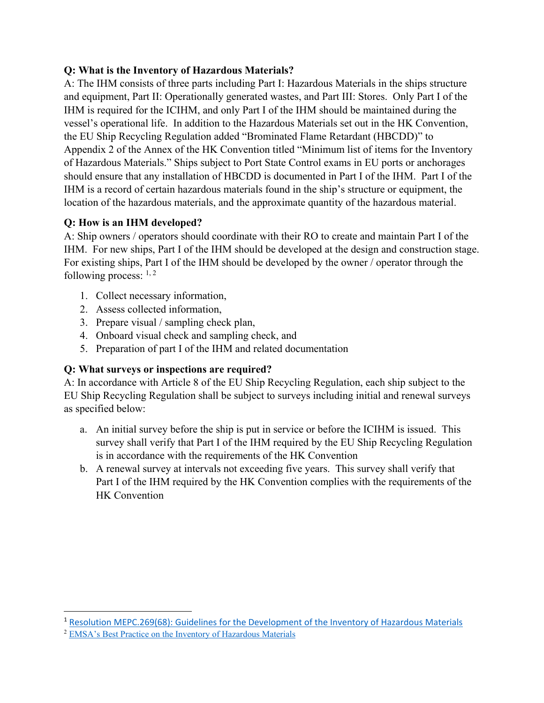# **Q: What is the Inventory of Hazardous Materials?**

A: The IHM consists of three parts including Part I: Hazardous Materials in the ships structure and equipment, Part II: Operationally generated wastes, and Part III: Stores. Only Part I of the IHM is required for the ICIHM, and only Part I of the IHM should be maintained during the vessel's operational life. In addition to the Hazardous Materials set out in the HK Convention, the EU Ship Recycling Regulation added "Brominated Flame Retardant (HBCDD)" to Appendix 2 of the Annex of the HK Convention titled "Minimum list of items for the Inventory of Hazardous Materials." Ships subject to Port State Control exams in EU ports or anchorages should ensure that any installation of HBCDD is documented in Part I of the IHM. Part I of the IHM is a record of certain hazardous materials found in the ship's structure or equipment, the location of the hazardous materials, and the approximate quantity of the hazardous material.

# **Q: How is an IHM developed?**

A: Ship owners / operators should coordinate with their RO to create and maintain Part I of the IHM. For new ships, Part I of the IHM should be developed at the design and construction stage. For existing ships, Part I of the IHM should be developed by the owner / operator through the following process:  $1, 2$ 

- 1. Collect necessary information,
- 2. Assess collected information,
- 3. Prepare visual / sampling check plan,
- 4. Onboard visual check and sampling check, and
- 5. Preparation of part I of the IHM and related documentation

#### **Q: What surveys or inspections are required?**

A: In accordance with Article 8 of the EU Ship Recycling Regulation, each ship subject to the EU Ship Recycling Regulation shall be subject to surveys including initial and renewal surveys as specified below:

- a. An initial survey before the ship is put in service or before the ICIHM is issued. This survey shall verify that Part I of the IHM required by the EU Ship Recycling Regulation is in accordance with the requirements of the HK Convention
- b. A renewal survey at intervals not exceeding five years. This survey shall verify that Part I of the IHM required by the HK Convention complies with the requirements of the HK Convention

<sup>1</sup> Resolution MEPC.269(68): Guidelines for the Development of the Inventory of Hazardous Materials

<sup>2</sup> EMSA's Best Practice on the Inventory of Hazardous Materials